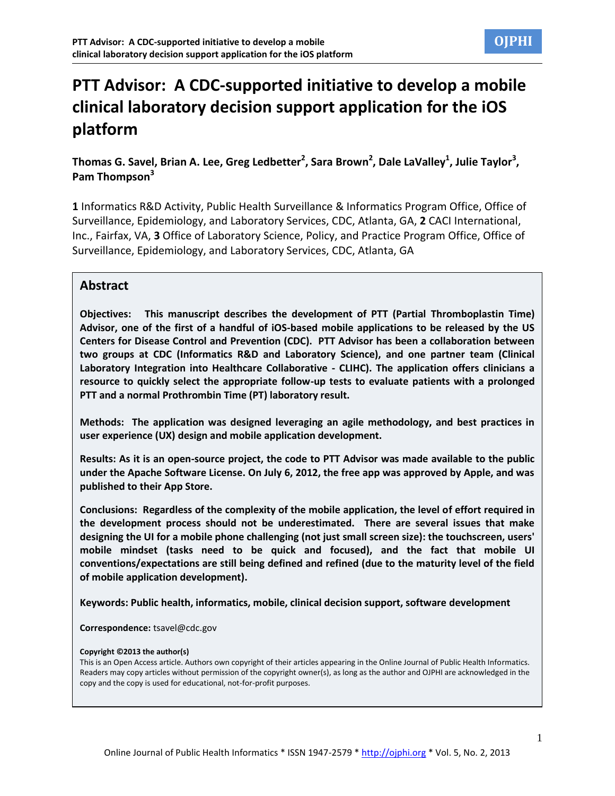# **PTT Advisor: A CDC-supported initiative to develop a mobile clinical laboratory decision support application for the iOS platform**

### **Thomas G. Savel, Brian A. Lee, Greg Ledbetter<sup>2</sup> , Sara Brown<sup>2</sup> , Dale LaValley<sup>1</sup> , Julie Taylor<sup>3</sup> , Pam Thompson<sup>3</sup>**

**1** Informatics R&D Activity, Public Health Surveillance & Informatics Program Office, Office of Surveillance, Epidemiology, and Laboratory Services, CDC, Atlanta, GA, **2** CACI International, Inc., Fairfax, VA, **3** Office of Laboratory Science, Policy, and Practice Program Office, Office of Surveillance, Epidemiology, and Laboratory Services, CDC, Atlanta, GA

#### **Abstract**

**Objectives: This manuscript describes the development of PTT (Partial Thromboplastin Time) Advisor, one of the first of a handful of iOS-based mobile applications to be released by the US Centers for Disease Control and Prevention (CDC). PTT Advisor has been a collaboration between two groups at CDC (Informatics R&D and Laboratory Science), and one partner team (Clinical Laboratory Integration into Healthcare Collaborative - CLIHC). The application offers clinicians a resource to quickly select the appropriate follow-up tests to evaluate patients with a prolonged PTT and a normal Prothrombin Time (PT) laboratory result.**

**Methods: The application was designed leveraging an agile methodology, and best practices in user experience (UX) design and mobile application development.**

**Results: As it is an open-source project, the code to PTT Advisor was made available to the public under the Apache Software License. On July 6, 2012, the free app was approved by Apple, and was published to their App Store.**

**Conclusions: Regardless of the complexity of the mobile application, the level of effort required in the development process should not be underestimated. There are several issues that make designing the UI for a mobile phone challenging (not just small screen size): the touchscreen, users' mobile mindset (tasks need to be quick and focused), and the fact that mobile UI conventions/expectations are still being defined and refined (due to the maturity level of the field of mobile application development).**

**Keywords: Public health, informatics, mobile, clinical decision support, software development**

**Correspondence:** [tsavel@cdc.gov](mailto:tsavel@cdc.gov)

#### **Copyright ©2013 the author(s)**

This is an Open Access article. Authors own copyright of their articles appearing in the Online Journal of Public Health Informatics. Readers may copy articles without permission of the copyright owner(s), as long as the author and OJPHI are acknowledged in the copy and the copy is used for educational, not-for-profit purposes.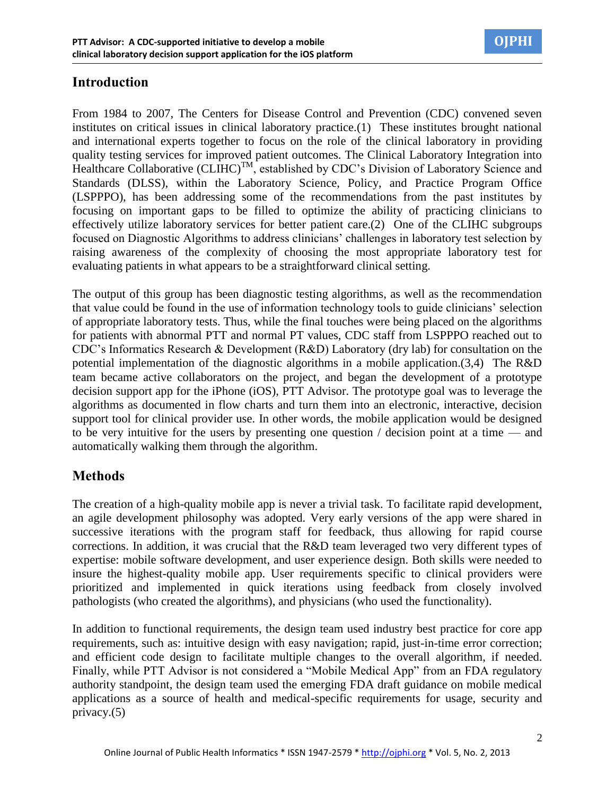

# **Introduction**

From 1984 to 2007, The Centers for Disease Control and Prevention (CDC) convened seven institutes on critical issues in clinical laboratory practice.(1) These institutes brought national and international experts together to focus on the role of the clinical laboratory in providing quality testing services for improved patient outcomes. The Clinical Laboratory Integration into Healthcare Collaborative  $(CLHC)^{TM}$ , established by CDC's Division of Laboratory Science and Standards (DLSS), within the Laboratory Science, Policy, and Practice Program Office (LSPPPO), has been addressing some of the recommendations from the past institutes by focusing on important gaps to be filled to optimize the ability of practicing clinicians to effectively utilize laboratory services for better patient care.(2) One of the CLIHC subgroups focused on Diagnostic Algorithms to address clinicians' challenges in laboratory test selection by raising awareness of the complexity of choosing the most appropriate laboratory test for evaluating patients in what appears to be a straightforward clinical setting.

The output of this group has been diagnostic testing algorithms, as well as the recommendation that value could be found in the use of information technology tools to guide clinicians' selection of appropriate laboratory tests. Thus, while the final touches were being placed on the algorithms for patients with abnormal PTT and normal PT values, CDC staff from LSPPPO reached out to CDC's Informatics Research & Development (R&D) Laboratory (dry lab) for consultation on the potential implementation of the diagnostic algorithms in a mobile application.(3,4) The R&D team became active collaborators on the project, and began the development of a prototype decision support app for the iPhone (iOS), PTT Advisor. The prototype goal was to leverage the algorithms as documented in flow charts and turn them into an electronic, interactive, decision support tool for clinical provider use. In other words, the mobile application would be designed to be very intuitive for the users by presenting one question / decision point at a time  $-$  and automatically walking them through the algorithm.

### **Methods**

The creation of a high-quality mobile app is never a trivial task. To facilitate rapid development, an agile development philosophy was adopted. Very early versions of the app were shared in successive iterations with the program staff for feedback, thus allowing for rapid course corrections. In addition, it was crucial that the R&D team leveraged two very different types of expertise: mobile software development, and user experience design. Both skills were needed to insure the highest-quality mobile app. User requirements specific to clinical providers were prioritized and implemented in quick iterations using feedback from closely involved pathologists (who created the algorithms), and physicians (who used the functionality).

In addition to functional requirements, the design team used industry best practice for core app requirements, such as: intuitive design with easy navigation; rapid, just-in-time error correction; and efficient code design to facilitate multiple changes to the overall algorithm, if needed. Finally, while PTT Advisor is not considered a "Mobile Medical App" from an FDA regulatory authority standpoint, the design team used the emerging FDA draft guidance on mobile medical applications as a source of health and medical-specific requirements for usage, security and privacy.(5)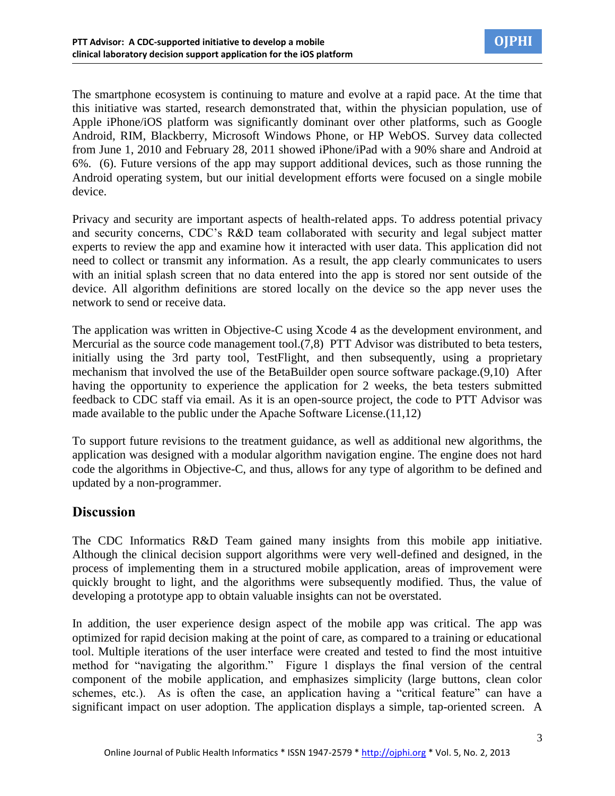The smartphone ecosystem is continuing to mature and evolve at a rapid pace. At the time that this initiative was started, research demonstrated that, within the physician population, use of Apple iPhone/iOS platform was significantly dominant over other platforms, such as Google Android, RIM, Blackberry, Microsoft Windows Phone, or HP WebOS. Survey data collected from June 1, 2010 and February 28, 2011 showed iPhone/iPad with a 90% share and Android at 6%. (6). Future versions of the app may support additional devices, such as those running the Android operating system, but our initial development efforts were focused on a single mobile device.

Privacy and security are important aspects of health-related apps. To address potential privacy and security concerns, CDC's R&D team collaborated with security and legal subject matter experts to review the app and examine how it interacted with user data. This application did not need to collect or transmit any information. As a result, the app clearly communicates to users with an initial splash screen that no data entered into the app is stored nor sent outside of the device. All algorithm definitions are stored locally on the device so the app never uses the network to send or receive data.

The application was written in Objective-C using Xcode 4 as the development environment, and Mercurial as the source code management tool.(7,8) PTT Advisor was distributed to beta testers, initially using the 3rd party tool, TestFlight, and then subsequently, using a proprietary mechanism that involved the use of the BetaBuilder open source software package.(9,10) After having the opportunity to experience the application for 2 weeks, the beta testers submitted feedback to CDC staff via email. As it is an open-source project, the code to PTT Advisor was made available to the public under the Apache Software License.(11,12)

To support future revisions to the treatment guidance, as well as additional new algorithms, the application was designed with a modular algorithm navigation engine. The engine does not hard code the algorithms in Objective-C, and thus, allows for any type of algorithm to be defined and updated by a non-programmer.

### **Discussion**

The CDC Informatics R&D Team gained many insights from this mobile app initiative. Although the clinical decision support algorithms were very well-defined and designed, in the process of implementing them in a structured mobile application, areas of improvement were quickly brought to light, and the algorithms were subsequently modified. Thus, the value of developing a prototype app to obtain valuable insights can not be overstated.

In addition, the user experience design aspect of the mobile app was critical. The app was optimized for rapid decision making at the point of care, as compared to a training or educational tool. Multiple iterations of the user interface were created and tested to find the most intuitive method for "navigating the algorithm." Figure 1 displays the final version of the central component of the mobile application, and emphasizes simplicity (large buttons, clean color schemes, etc.). As is often the case, an application having a "critical feature" can have a significant impact on user adoption. The application displays a simple, tap-oriented screen. A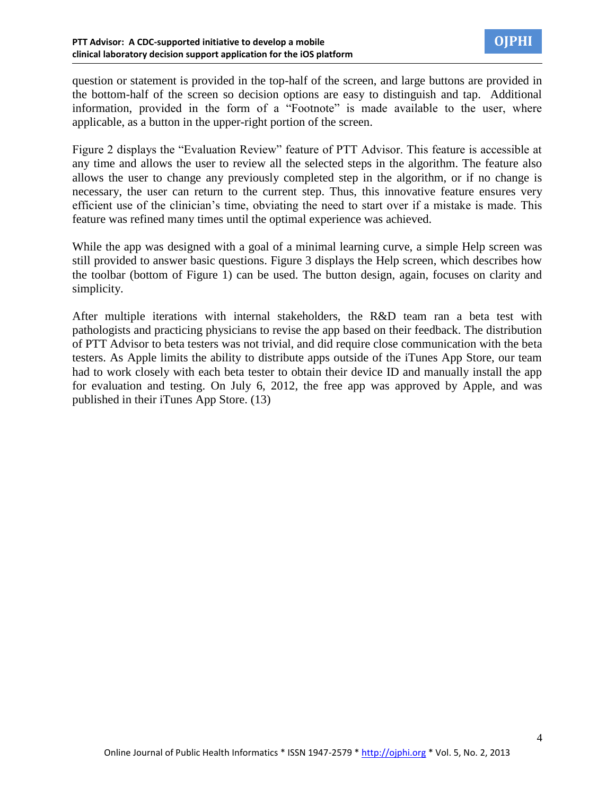question or statement is provided in the top-half of the screen, and large buttons are provided in the bottom-half of the screen so decision options are easy to distinguish and tap. Additional information, provided in the form of a "Footnote" is made available to the user, where applicable, as a button in the upper-right portion of the screen.

Figure 2 displays the "Evaluation Review" feature of PTT Advisor. This feature is accessible at any time and allows the user to review all the selected steps in the algorithm. The feature also allows the user to change any previously completed step in the algorithm, or if no change is necessary, the user can return to the current step. Thus, this innovative feature ensures very efficient use of the clinician's time, obviating the need to start over if a mistake is made. This feature was refined many times until the optimal experience was achieved.

While the app was designed with a goal of a minimal learning curve, a simple Help screen was still provided to answer basic questions. Figure 3 displays the Help screen, which describes how the toolbar (bottom of Figure 1) can be used. The button design, again, focuses on clarity and simplicity.

After multiple iterations with internal stakeholders, the R&D team ran a beta test with pathologists and practicing physicians to revise the app based on their feedback. The distribution of PTT Advisor to beta testers was not trivial, and did require close communication with the beta testers. As Apple limits the ability to distribute apps outside of the iTunes App Store, our team had to work closely with each beta tester to obtain their device ID and manually install the app for evaluation and testing. On July 6, 2012, the free app was approved by Apple, and was published in their iTunes App Store. (13)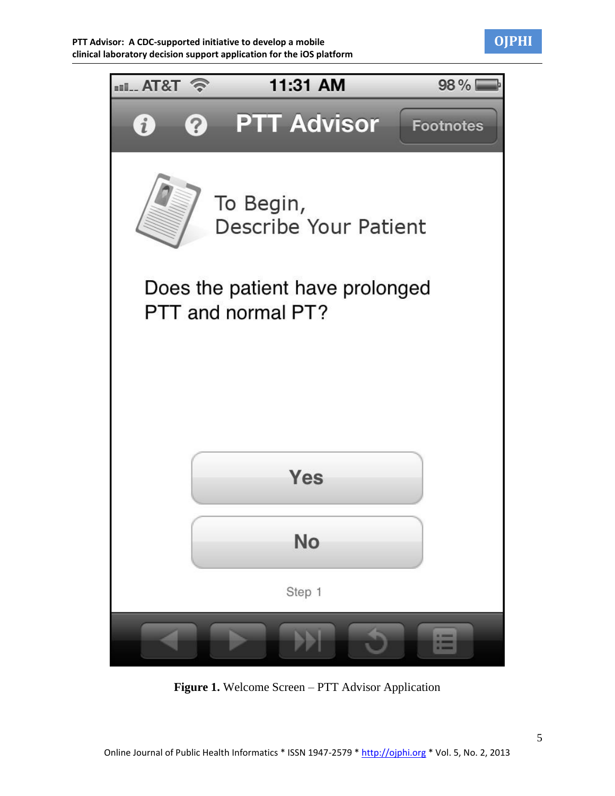



**Figure 1.** Welcome Screen – PTT Advisor Application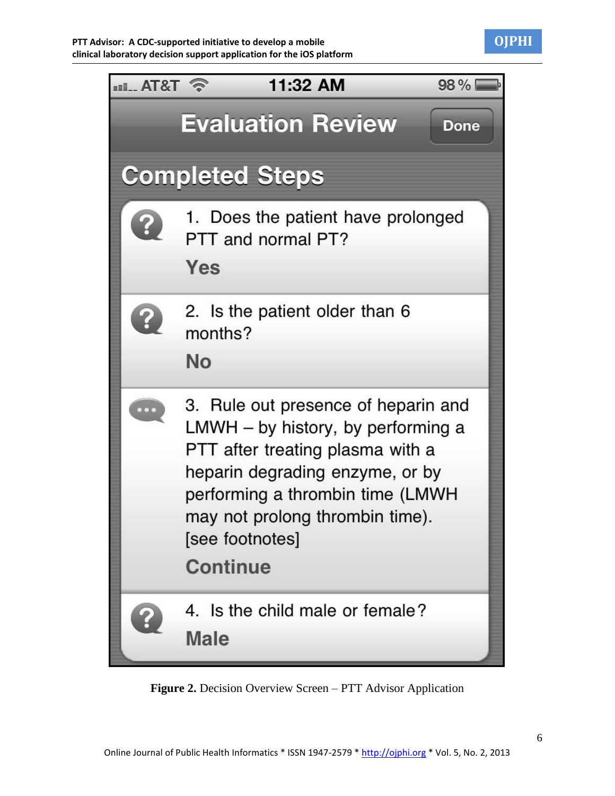

| $\approx$ T&TA | 11:32 AM<br>98%                                                                                                                                                                                                                                               |
|----------------|---------------------------------------------------------------------------------------------------------------------------------------------------------------------------------------------------------------------------------------------------------------|
|                | <b>Evaluation Review</b><br><b>Done</b>                                                                                                                                                                                                                       |
|                | <b>Completed Steps</b>                                                                                                                                                                                                                                        |
|                | 1. Does the patient have prolonged<br>PTT and normal PT?<br>Yes                                                                                                                                                                                               |
|                | 2. Is the patient older than 6<br>months?<br>No                                                                                                                                                                                                               |
|                | 3. Rule out presence of heparin and<br>LMWH - by history, by performing a<br>PTT after treating plasma with a<br>heparin degrading enzyme, or by<br>performing a thrombin time (LMWH<br>may not prolong thrombin time).<br>[see footnotes]<br><b>Continue</b> |
|                | 4. Is the child male or female?<br>Male                                                                                                                                                                                                                       |

**Figure 2.** Decision Overview Screen – PTT Advisor Application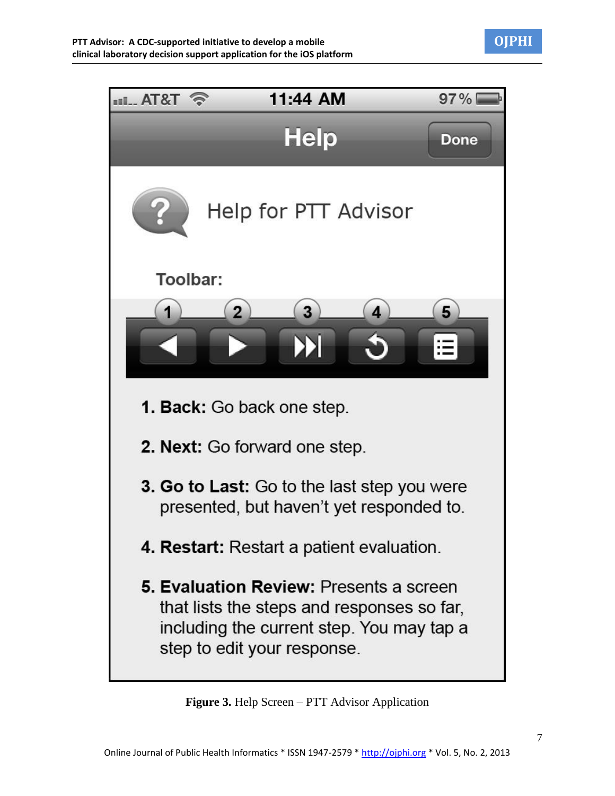



**Figure 3.** Help Screen – PTT Advisor Application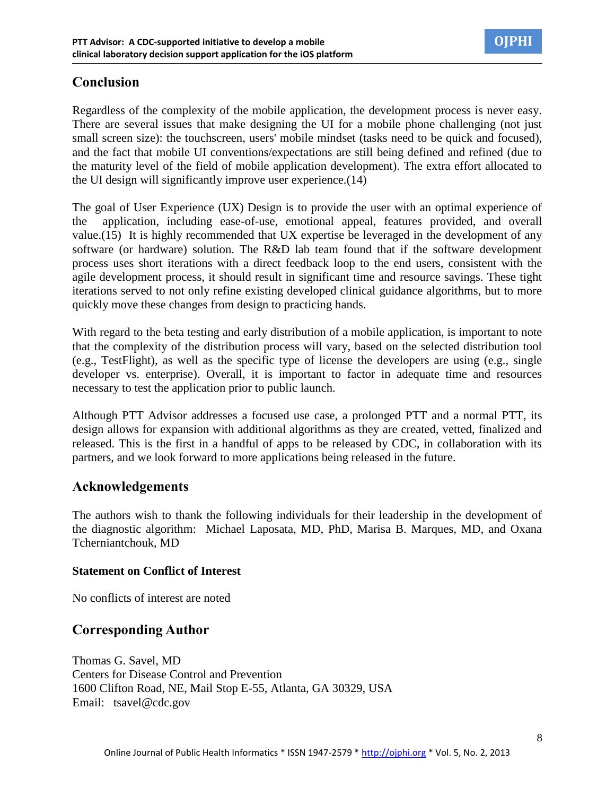

# **Conclusion**

Regardless of the complexity of the mobile application, the development process is never easy. There are several issues that make designing the UI for a mobile phone challenging (not just small screen size): the touchscreen, users' mobile mindset (tasks need to be quick and focused), and the fact that mobile UI conventions/expectations are still being defined and refined (due to the maturity level of the field of mobile application development). The extra effort allocated to the UI design will significantly improve user experience.(14)

The goal of User Experience (UX) Design is to provide the user with an optimal experience of the application, including ease-of-use, emotional appeal, features provided, and overall value.(15) It is highly recommended that UX expertise be leveraged in the development of any software (or hardware) solution. The R&D lab team found that if the software development process uses short iterations with a direct feedback loop to the end users, consistent with the agile development process, it should result in significant time and resource savings. These tight iterations served to not only refine existing developed clinical guidance algorithms, but to more quickly move these changes from design to practicing hands.

With regard to the beta testing and early distribution of a mobile application, is important to note that the complexity of the distribution process will vary, based on the selected distribution tool (e.g., TestFlight), as well as the specific type of license the developers are using (e.g., single developer vs. enterprise). Overall, it is important to factor in adequate time and resources necessary to test the application prior to public launch.

Although PTT Advisor addresses a focused use case, a prolonged PTT and a normal PTT, its design allows for expansion with additional algorithms as they are created, vetted, finalized and released. This is the first in a handful of apps to be released by CDC, in collaboration with its partners, and we look forward to more applications being released in the future.

### **Acknowledgements**

The authors wish to thank the following individuals for their leadership in the development of the diagnostic algorithm: Michael Laposata, MD, PhD, Marisa B. Marques, MD, and Oxana Tcherniantchouk, MD

#### **Statement on Conflict of Interest**

No conflicts of interest are noted

## **Corresponding Author**

Thomas G. Savel, MD Centers for Disease Control and Prevention 1600 Clifton Road, NE, Mail Stop E-55, Atlanta, GA 30329, USA Email: [tsavel@cdc.gov](mailto:tsavel@cdc.gov)